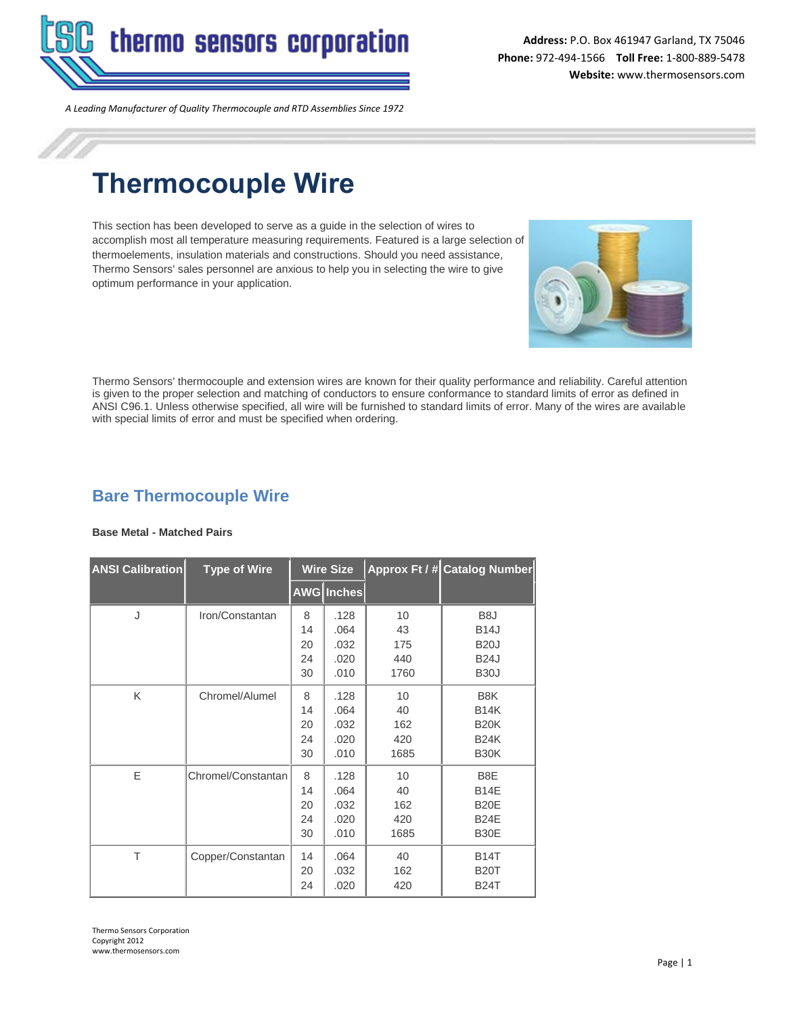

*A Leading Manufacturer of Quality Thermocouple and RTD Assemblies Since 1972*

# **Thermocouple Wire**

This section has been developed to serve as a guide in the selection of wires to accomplish most all temperature measuring requirements. Featured is a large selection of thermoelements, insulation materials and constructions. Should you need assistance, Thermo Sensors' sales personnel are anxious to help you in selecting the wire to give optimum performance in your application.



Thermo Sensors' thermocouple and extension wires are known for their quality performance and reliability. Careful attention is given to the proper selection and matching of conductors to ensure conformance to standard limits of error as defined in ANSI C96.1. Unless otherwise specified, all wire will be furnished to standard limits of error. Many of the wires are available with special limits of error and must be specified when ordering.

# **Bare Thermocouple Wire**

#### **Base Metal - Matched Pairs**

| <b>ANSI Calibration</b> | <b>Type of Wire</b> | <b>Wire Size</b> |                   |      | Approx Ft / # Catalog Number |
|-------------------------|---------------------|------------------|-------------------|------|------------------------------|
|                         |                     |                  | <b>AWG</b> Inches |      |                              |
| J                       | Iron/Constantan     | 8                | .128              | 10   | B <sub>8</sub> J             |
|                         |                     | 14               | .064              | 43   | <b>B14J</b>                  |
|                         |                     | 20               | .032              | 175  | <b>B20J</b>                  |
|                         |                     | 24               | .020              | 440  | <b>B24J</b>                  |
|                         |                     | 30               | .010              | 1760 | <b>B30J</b>                  |
| K                       | Chromel/Alumel      | 8                | .128              | 10   | B8K                          |
|                         |                     | 14               | .064              | 40   | <b>B14K</b>                  |
|                         |                     | 20               | .032              | 162  | <b>B20K</b>                  |
|                         |                     | 24               | .020              | 420  | <b>B24K</b>                  |
|                         |                     | 30               | .010              | 1685 | <b>B30K</b>                  |
| E                       | Chromel/Constantan  | 8                | .128              | 10   | B8E                          |
|                         |                     | 14               | .064              | 40   | <b>B14E</b>                  |
|                         |                     | 20               | .032              | 162  | <b>B20E</b>                  |
|                         |                     | 24               | .020              | 420  | <b>B24E</b>                  |
|                         |                     | 30               | .010              | 1685 | <b>B30E</b>                  |
| T                       | Copper/Constantan   | 14               | .064              | 40   | <b>B14T</b>                  |
|                         |                     | 20               | .032              | 162  | <b>B20T</b>                  |
|                         |                     | 24               | .020              | 420  | <b>B24T</b>                  |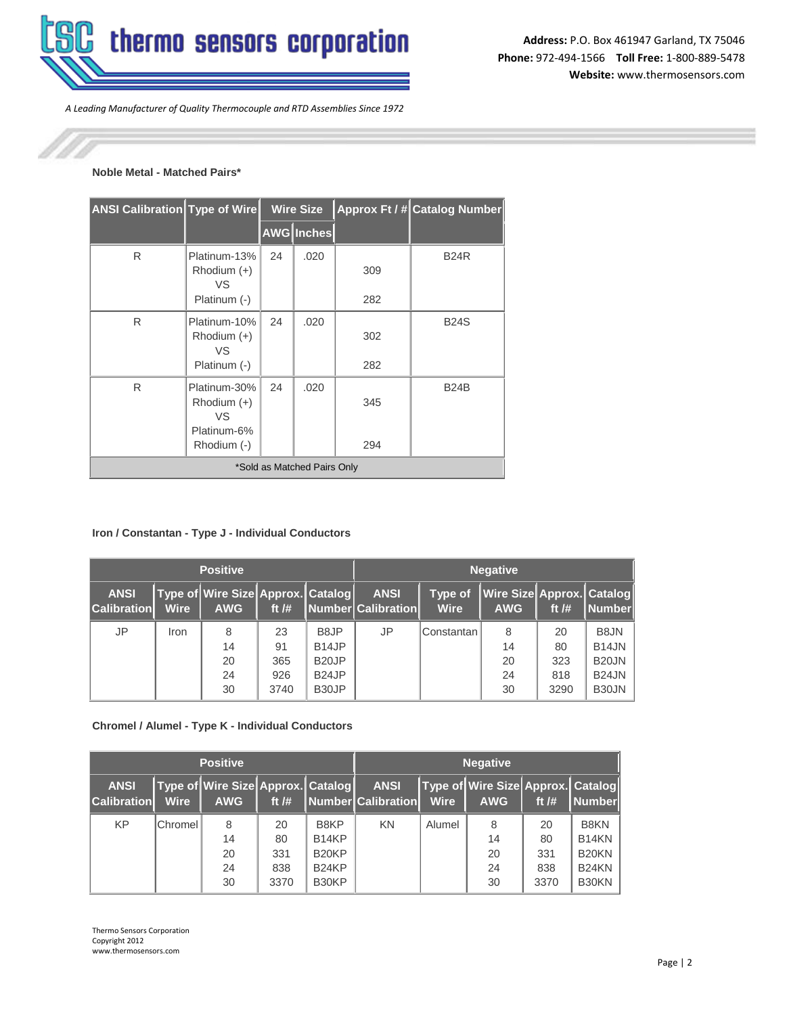

*A Leading Manufacturer of Quality Thermocouple and RTD Assemblies Since 1972*

## **Noble Metal - Matched Pairs\***

| <b>ANSI Calibration Type of Wire</b> |                                                                   |    | <b>Wire Size</b>  |            | Approx Ft / # Catalog Number |  |  |  |  |
|--------------------------------------|-------------------------------------------------------------------|----|-------------------|------------|------------------------------|--|--|--|--|
|                                      |                                                                   |    | <b>AWG</b> Inches |            |                              |  |  |  |  |
| R                                    | Platinum-13%<br>$Rhodium (+)$<br>VS.<br>Platinum (-)              | 24 | .020              | 309<br>282 | <b>B24R</b>                  |  |  |  |  |
| R                                    | Platinum-10%<br>$Rhodium (+)$<br>VS<br>Platinum (-)               | 24 | .020              | 302<br>282 | <b>B24S</b>                  |  |  |  |  |
| R                                    | Platinum-30%<br>$Rhodium (+)$<br>VS<br>Platinum-6%<br>Rhodium (-) | 24 | .020              | 345<br>294 | <b>B24B</b>                  |  |  |  |  |
| *Sold as Matched Pairs Only          |                                                                   |    |                   |            |                              |  |  |  |  |

# **Iron / Constantan - Type J - Individual Conductors**

| <b>Positive</b>                   |             |                                                   |         |                    | <b>Negative</b>                      |                        |                                         |         |                    |  |
|-----------------------------------|-------------|---------------------------------------------------|---------|--------------------|--------------------------------------|------------------------|-----------------------------------------|---------|--------------------|--|
| <b>ANSI</b><br><b>Calibration</b> | <b>Wire</b> | Type of Wire Size Approx. Catalog  <br><b>AWG</b> | ft $/H$ |                    | <b>ANSI</b><br>  Number  Calibration | Type of<br><b>Wire</b> | Wire Size Approx. Catalog<br><b>AWG</b> | ft $/H$ | Number             |  |
| JP                                | Iron        | 8                                                 | 23      | B8JP               | JP.                                  | lConstantan            | 8                                       | 20      | B8JN               |  |
|                                   |             | 14                                                | 91      | B <sub>14</sub> JP |                                      |                        | 14                                      | 80      | B <sub>14</sub> JN |  |
|                                   |             | 20                                                | 365     | B <sub>20</sub> JP |                                      |                        | 20                                      | 323     | <b>B20JN</b>       |  |
|                                   |             | 24                                                | 926     | B <sub>24</sub> JP |                                      |                        | 24                                      | 818     | <b>B24JN</b>       |  |
|                                   |             | 30                                                | 3740    | B <sub>30</sub> JP |                                      |                        | 30                                      | 3290    | B <sub>30</sub> JN |  |

## **Chromel / Alumel - Type K - Individual Conductors**

| <b>Positive</b>                   |             |                                                 |         |                    | <b>Negative</b>                   |             |                                                 |         |                    |  |
|-----------------------------------|-------------|-------------------------------------------------|---------|--------------------|-----------------------------------|-------------|-------------------------------------------------|---------|--------------------|--|
| <b>ANSI</b><br><b>Calibration</b> | <b>Wire</b> | Type of Wire Size Approx. Catalog<br><b>AWG</b> | ft $/H$ |                    | <b>ANSI</b><br>Number Calibration | <b>Wire</b> | Type of Wire Size Approx. Catalog<br><b>AWG</b> | ft $/H$ | Number             |  |
| <b>KP</b>                         | Chromel     | 8                                               | 20      | B8KP               | <b>KN</b>                         | Alumel      | 8                                               | 20      | B8KN               |  |
|                                   |             | 14                                              | 80      | B <sub>14</sub> KP |                                   |             | 14                                              | 80      | B <sub>14</sub> KN |  |
|                                   |             | 20                                              | 331     | B <sub>20</sub> KP |                                   |             | 20                                              | 331     | B <sub>20</sub> KN |  |
|                                   |             | 24                                              | 838     | B <sub>24</sub> KP |                                   |             | 24                                              | 838     | B <sub>24</sub> KN |  |
|                                   |             | 30                                              | 3370    | B30KP              |                                   |             | 30                                              | 3370    | B30KN              |  |